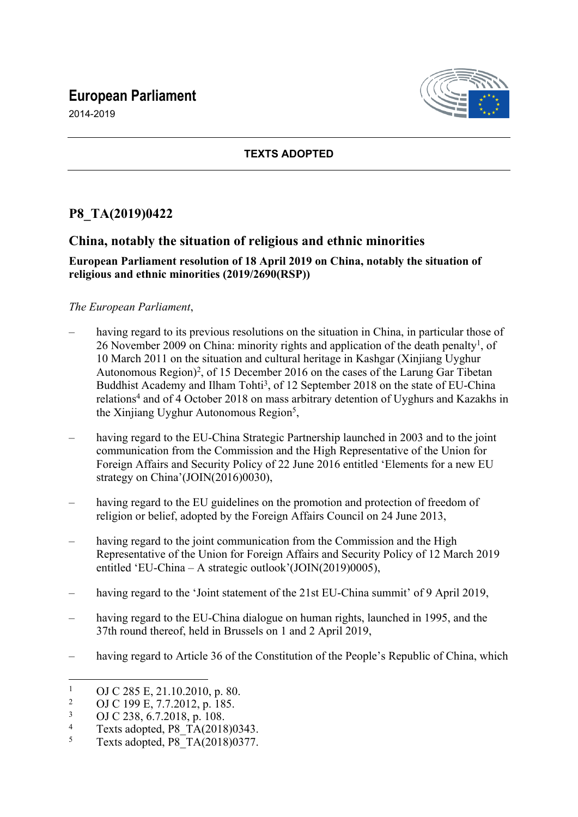# **European Parliament**

2014-2019



### **TEXTS ADOPTED**

## **P8\_TA(2019)0422**

## **China, notably the situation of religious and ethnic minorities**

#### **European Parliament resolution of 18 April 2019 on China, notably the situation of religious and ethnic minorities (2019/2690(RSP))**

#### *The European Parliament*,

- having regard to its previous resolutions on the situation in China, in particular those of 26 November 2009 on China: minority rights and application of the death penalty<sup>1</sup>, of 10 March 2011 on the situation and cultural heritage in Kashgar (Xinjiang Uyghur Autonomous Region)<sup>2</sup>, of 15 December 2016 on the cases of the Larung Gar Tibetan Buddhist Academy and Ilham Tohti<sup>3</sup>, of 12 September 2018 on the state of EU-China relations<sup>4</sup> and of 4 October 2018 on mass arbitrary detention of Uyghurs and Kazakhs in the Xinjiang Uyghur Autonomous Region<sup>5</sup>,
- having regard to the EU-China Strategic Partnership launched in 2003 and to the joint communication from the Commission and the High Representative of the Union for Foreign Affairs and Security Policy of 22 June 2016 entitled 'Elements for a new EU strategy on China'(JOIN(2016)0030),
- having regard to the EU guidelines on the promotion and protection of freedom of religion or belief, adopted by the Foreign Affairs Council on 24 June 2013,
- having regard to the joint communication from the Commission and the High Representative of the Union for Foreign Affairs and Security Policy of 12 March 2019 entitled 'EU-China – A strategic outlook'(JOIN(2019)0005),
- having regard to the 'Joint statement of the 21st EU-China summit' of 9 April 2019,
- having regard to the EU-China dialogue on human rights, launched in 1995, and the 37th round thereof, held in Brussels on 1 and 2 April 2019,
- having regard to Article 36 of the Constitution of the People's Republic of China, which

<sup>1</sup> OJ C 285 E, 21.10.2010, p. 80.

 $\overline{2}$ OJ C 199 E, 7.7.2012, p. 185.

<sup>3</sup> OJ C 238, 6.7.2018, p. 108.

<sup>4</sup> Texts adopted, P8\_TA(2018)0343.

<sup>5</sup> Texts adopted, P8\_TA(2018)0377.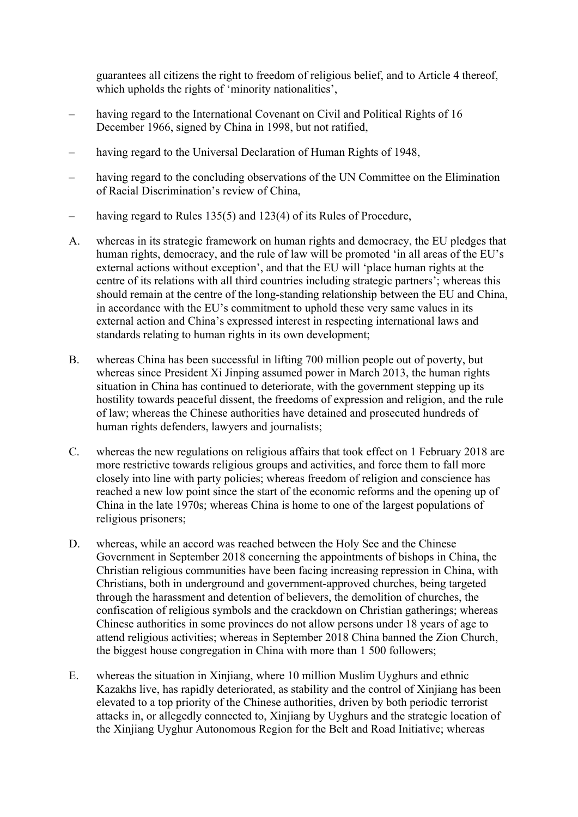guarantees all citizens the right to freedom of religious belief, and to Article 4 thereof, which upholds the rights of 'minority nationalities',

- having regard to the International Covenant on Civil and Political Rights of 16 December 1966, signed by China in 1998, but not ratified,
- having regard to the Universal Declaration of Human Rights of 1948,
- having regard to the concluding observations of the UN Committee on the Elimination of Racial Discrimination's review of China,
- having regard to Rules 135(5) and 123(4) of its Rules of Procedure,
- A. whereas in its strategic framework on human rights and democracy, the EU pledges that human rights, democracy, and the rule of law will be promoted 'in all areas of the EU's external actions without exception', and that the EU will 'place human rights at the centre of its relations with all third countries including strategic partners'; whereas this should remain at the centre of the long-standing relationship between the EU and China, in accordance with the EU's commitment to uphold these very same values in its external action and China's expressed interest in respecting international laws and standards relating to human rights in its own development;
- B. whereas China has been successful in lifting 700 million people out of poverty, but whereas since President Xi Jinping assumed power in March 2013, the human rights situation in China has continued to deteriorate, with the government stepping up its hostility towards peaceful dissent, the freedoms of expression and religion, and the rule of law; whereas the Chinese authorities have detained and prosecuted hundreds of human rights defenders, lawyers and journalists;
- C. whereas the new regulations on religious affairs that took effect on 1 February 2018 are more restrictive towards religious groups and activities, and force them to fall more closely into line with party policies; whereas freedom of religion and conscience has reached a new low point since the start of the economic reforms and the opening up of China in the late 1970s; whereas China is home to one of the largest populations of religious prisoners;
- D. whereas, while an accord was reached between the Holy See and the Chinese Government in September 2018 concerning the appointments of bishops in China, the Christian religious communities have been facing increasing repression in China, with Christians, both in underground and government-approved churches, being targeted through the harassment and detention of believers, the demolition of churches, the confiscation of religious symbols and the crackdown on Christian gatherings; whereas Chinese authorities in some provinces do not allow persons under 18 years of age to attend religious activities; whereas in September 2018 China banned the Zion Church, the biggest house congregation in China with more than 1 500 followers;
- E. whereas the situation in Xinjiang, where 10 million Muslim Uyghurs and ethnic Kazakhs live, has rapidly deteriorated, as stability and the control of Xinjiang has been elevated to a top priority of the Chinese authorities, driven by both periodic terrorist attacks in, or allegedly connected to, Xinjiang by Uyghurs and the strategic location of the Xinjiang Uyghur Autonomous Region for the Belt and Road Initiative; whereas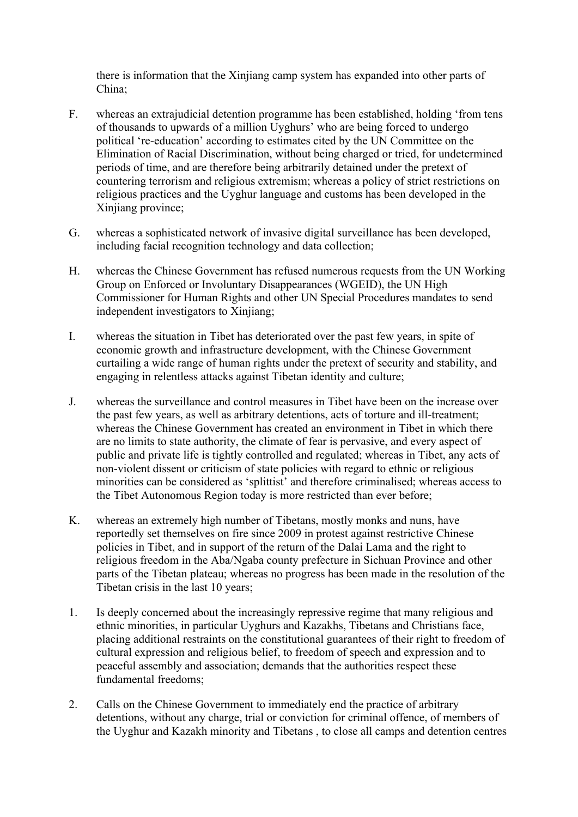there is information that the Xinjiang camp system has expanded into other parts of China;

- F. whereas an extrajudicial detention programme has been established, holding 'from tens of thousands to upwards of a million Uyghurs' who are being forced to undergo political 're-education' according to estimates cited by the UN Committee on the Elimination of Racial Discrimination, without being charged or tried, for undetermined periods of time, and are therefore being arbitrarily detained under the pretext of countering terrorism and religious extremism; whereas a policy of strict restrictions on religious practices and the Uyghur language and customs has been developed in the Xinjiang province;
- G. whereas a sophisticated network of invasive digital surveillance has been developed, including facial recognition technology and data collection;
- H. whereas the Chinese Government has refused numerous requests from the UN Working Group on Enforced or Involuntary Disappearances (WGEID), the UN High Commissioner for Human Rights and other UN Special Procedures mandates to send independent investigators to Xinjiang;
- I. whereas the situation in Tibet has deteriorated over the past few years, in spite of economic growth and infrastructure development, with the Chinese Government curtailing a wide range of human rights under the pretext of security and stability, and engaging in relentless attacks against Tibetan identity and culture;
- J. whereas the surveillance and control measures in Tibet have been on the increase over the past few years, as well as arbitrary detentions, acts of torture and ill-treatment; whereas the Chinese Government has created an environment in Tibet in which there are no limits to state authority, the climate of fear is pervasive, and every aspect of public and private life is tightly controlled and regulated; whereas in Tibet, any acts of non-violent dissent or criticism of state policies with regard to ethnic or religious minorities can be considered as 'splittist' and therefore criminalised; whereas access to the Tibet Autonomous Region today is more restricted than ever before;
- K. whereas an extremely high number of Tibetans, mostly monks and nuns, have reportedly set themselves on fire since 2009 in protest against restrictive Chinese policies in Tibet, and in support of the return of the Dalai Lama and the right to religious freedom in the Aba/Ngaba county prefecture in Sichuan Province and other parts of the Tibetan plateau; whereas no progress has been made in the resolution of the Tibetan crisis in the last 10 years;
- 1. Is deeply concerned about the increasingly repressive regime that many religious and ethnic minorities, in particular Uyghurs and Kazakhs, Tibetans and Christians face, placing additional restraints on the constitutional guarantees of their right to freedom of cultural expression and religious belief, to freedom of speech and expression and to peaceful assembly and association; demands that the authorities respect these fundamental freedoms;
- 2. Calls on the Chinese Government to immediately end the practice of arbitrary detentions, without any charge, trial or conviction for criminal offence, of members of the Uyghur and Kazakh minority and Tibetans , to close all camps and detention centres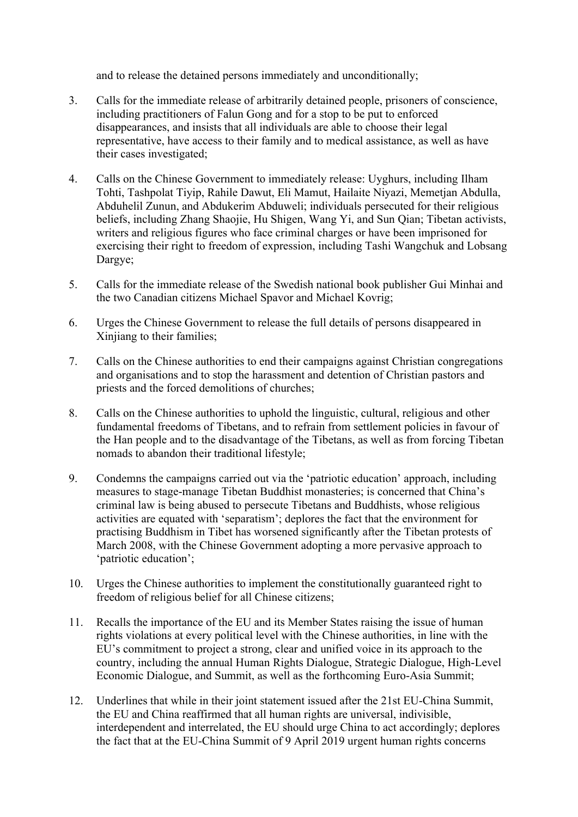and to release the detained persons immediately and unconditionally;

- 3. Calls for the immediate release of arbitrarily detained people, prisoners of conscience, including practitioners of Falun Gong and for a stop to be put to enforced disappearances, and insists that all individuals are able to choose their legal representative, have access to their family and to medical assistance, as well as have their cases investigated;
- 4. Calls on the Chinese Government to immediately release: Uyghurs, including Ilham Tohti, Tashpolat Tiyip, Rahile Dawut, Eli Mamut, Hailaite Niyazi, Memetjan Abdulla, Abduhelil Zunun, and Abdukerim Abduweli; individuals persecuted for their religious beliefs, including Zhang Shaojie, Hu Shigen, Wang Yi, and Sun Qian; Tibetan activists, writers and religious figures who face criminal charges or have been imprisoned for exercising their right to freedom of expression, including Tashi Wangchuk and Lobsang Dargye;
- 5. Calls for the immediate release of the Swedish national book publisher Gui Minhai and the two Canadian citizens Michael Spavor and Michael Kovrig;
- 6. Urges the Chinese Government to release the full details of persons disappeared in Xinjiang to their families;
- 7. Calls on the Chinese authorities to end their campaigns against Christian congregations and organisations and to stop the harassment and detention of Christian pastors and priests and the forced demolitions of churches;
- 8. Calls on the Chinese authorities to uphold the linguistic, cultural, religious and other fundamental freedoms of Tibetans, and to refrain from settlement policies in favour of the Han people and to the disadvantage of the Tibetans, as well as from forcing Tibetan nomads to abandon their traditional lifestyle;
- 9. Condemns the campaigns carried out via the 'patriotic education' approach, including measures to stage-manage Tibetan Buddhist monasteries; is concerned that China's criminal law is being abused to persecute Tibetans and Buddhists, whose religious activities are equated with 'separatism'; deplores the fact that the environment for practising Buddhism in Tibet has worsened significantly after the Tibetan protests of March 2008, with the Chinese Government adopting a more pervasive approach to 'patriotic education';
- 10. Urges the Chinese authorities to implement the constitutionally guaranteed right to freedom of religious belief for all Chinese citizens;
- 11. Recalls the importance of the EU and its Member States raising the issue of human rights violations at every political level with the Chinese authorities, in line with the EU's commitment to project a strong, clear and unified voice in its approach to the country, including the annual Human Rights Dialogue, Strategic Dialogue, High-Level Economic Dialogue, and Summit, as well as the forthcoming Euro-Asia Summit;
- 12. Underlines that while in their joint statement issued after the 21st EU-China Summit, the EU and China reaffirmed that all human rights are universal, indivisible, interdependent and interrelated, the EU should urge China to act accordingly; deplores the fact that at the EU-China Summit of 9 April 2019 urgent human rights concerns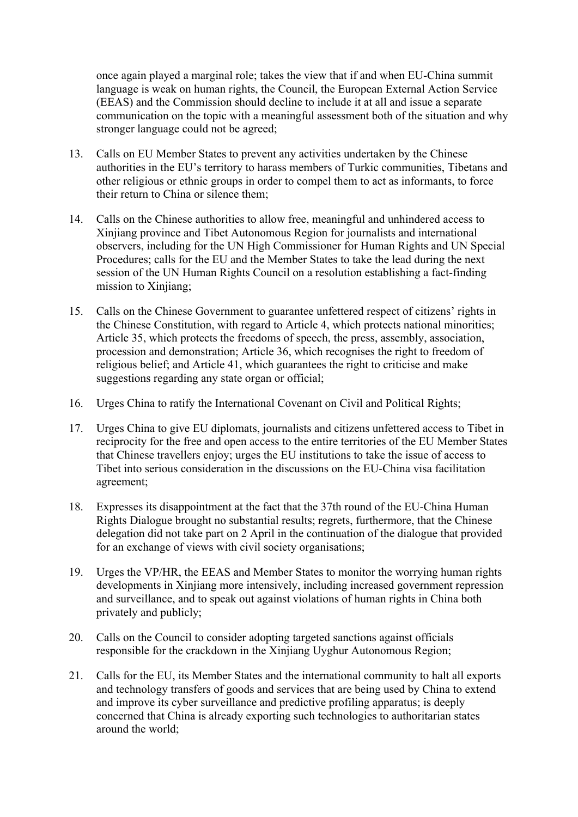once again played a marginal role; takes the view that if and when EU-China summit language is weak on human rights, the Council, the European External Action Service (EEAS) and the Commission should decline to include it at all and issue a separate communication on the topic with a meaningful assessment both of the situation and why stronger language could not be agreed;

- 13. Calls on EU Member States to prevent any activities undertaken by the Chinese authorities in the EU's territory to harass members of Turkic communities, Tibetans and other religious or ethnic groups in order to compel them to act as informants, to force their return to China or silence them;
- 14. Calls on the Chinese authorities to allow free, meaningful and unhindered access to Xinjiang province and Tibet Autonomous Region for journalists and international observers, including for the UN High Commissioner for Human Rights and UN Special Procedures; calls for the EU and the Member States to take the lead during the next session of the UN Human Rights Council on a resolution establishing a fact-finding mission to Xinjiang;
- 15. Calls on the Chinese Government to guarantee unfettered respect of citizens' rights in the Chinese Constitution, with regard to Article 4, which protects national minorities; Article 35, which protects the freedoms of speech, the press, assembly, association, procession and demonstration; Article 36, which recognises the right to freedom of religious belief; and Article 41, which guarantees the right to criticise and make suggestions regarding any state organ or official;
- 16. Urges China to ratify the International Covenant on Civil and Political Rights;
- 17. Urges China to give EU diplomats, journalists and citizens unfettered access to Tibet in reciprocity for the free and open access to the entire territories of the EU Member States that Chinese travellers enjoy; urges the EU institutions to take the issue of access to Tibet into serious consideration in the discussions on the EU-China visa facilitation agreement;
- 18. Expresses its disappointment at the fact that the 37th round of the EU-China Human Rights Dialogue brought no substantial results; regrets, furthermore, that the Chinese delegation did not take part on 2 April in the continuation of the dialogue that provided for an exchange of views with civil society organisations;
- 19. Urges the VP/HR, the EEAS and Member States to monitor the worrying human rights developments in Xinjiang more intensively, including increased government repression and surveillance, and to speak out against violations of human rights in China both privately and publicly;
- 20. Calls on the Council to consider adopting targeted sanctions against officials responsible for the crackdown in the Xinjiang Uyghur Autonomous Region;
- 21. Calls for the EU, its Member States and the international community to halt all exports and technology transfers of goods and services that are being used by China to extend and improve its cyber surveillance and predictive profiling apparatus; is deeply concerned that China is already exporting such technologies to authoritarian states around the world;